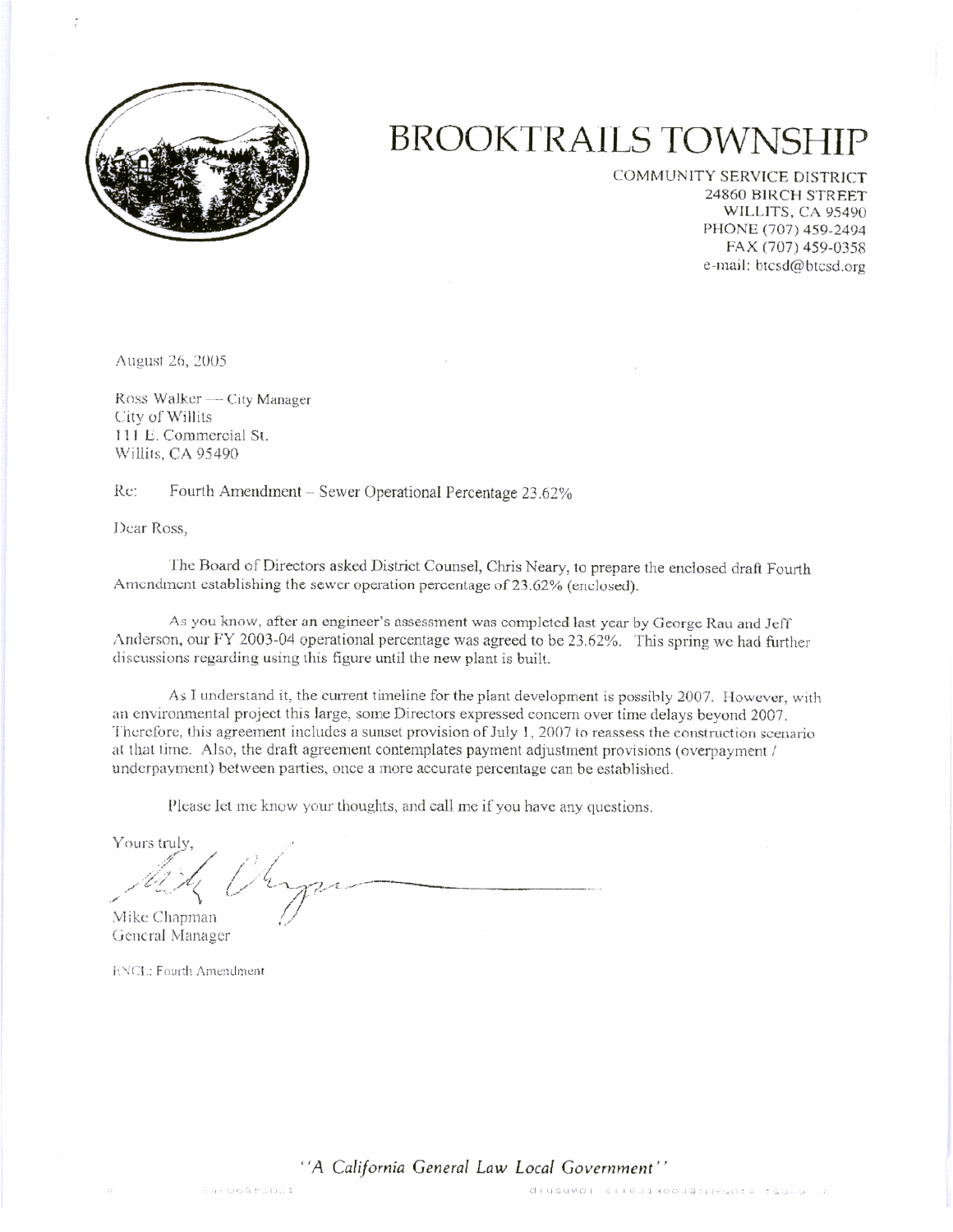

## **BROOKTRAILS TOWNSHI**

COMMUNITY SERVICE DISTRICT 24860 BIRCH STREET WILLITS, CA 95490 PHONE (707) 459-2494 FAX (707) 459-0358 e-mail: btcsd@btcsd.org

August 26, 2005

Ross Walker — City Manager City of Willits 111 E. Commercial St. Willits, CA 95490

Re: Fourth Amendment - Sewer Operational Percentage 23.62%

Dear Ross,

The Board of Directors asked District Counsel, Chris Neary, to prepare the enclosed draft Fourth Amendment establishing the sewer operation percentage of 23.62% (enclosed).

As you know, after an engineer's assessment was completed last year by George Rau and Jeff Anderson, our FY 2003-04 operational percentage was agreed to be 23.62%. This spring we had further discussions regarding using this figure until the new plant is built.

As I understand it, the current timeline for the plant development is possibly 2007. However, with an environmental project this large, some Directors expressed concern over time delays beyond 2007. Therefore, this agreement includes a sunset provision of July 1, 2007 to reassess the construction scenario at that time. Also, the draft agreement contemplates payment adjustment provisions (overpayment / underpayment) between parties, once a more accurate percentage can be established.

Please let me know your thoughts, and call me if you have any questions.

Yours truly. Mike Chapman

General Manager

**ENCL: Fourth Amendment** 

"A California General Law Local Government"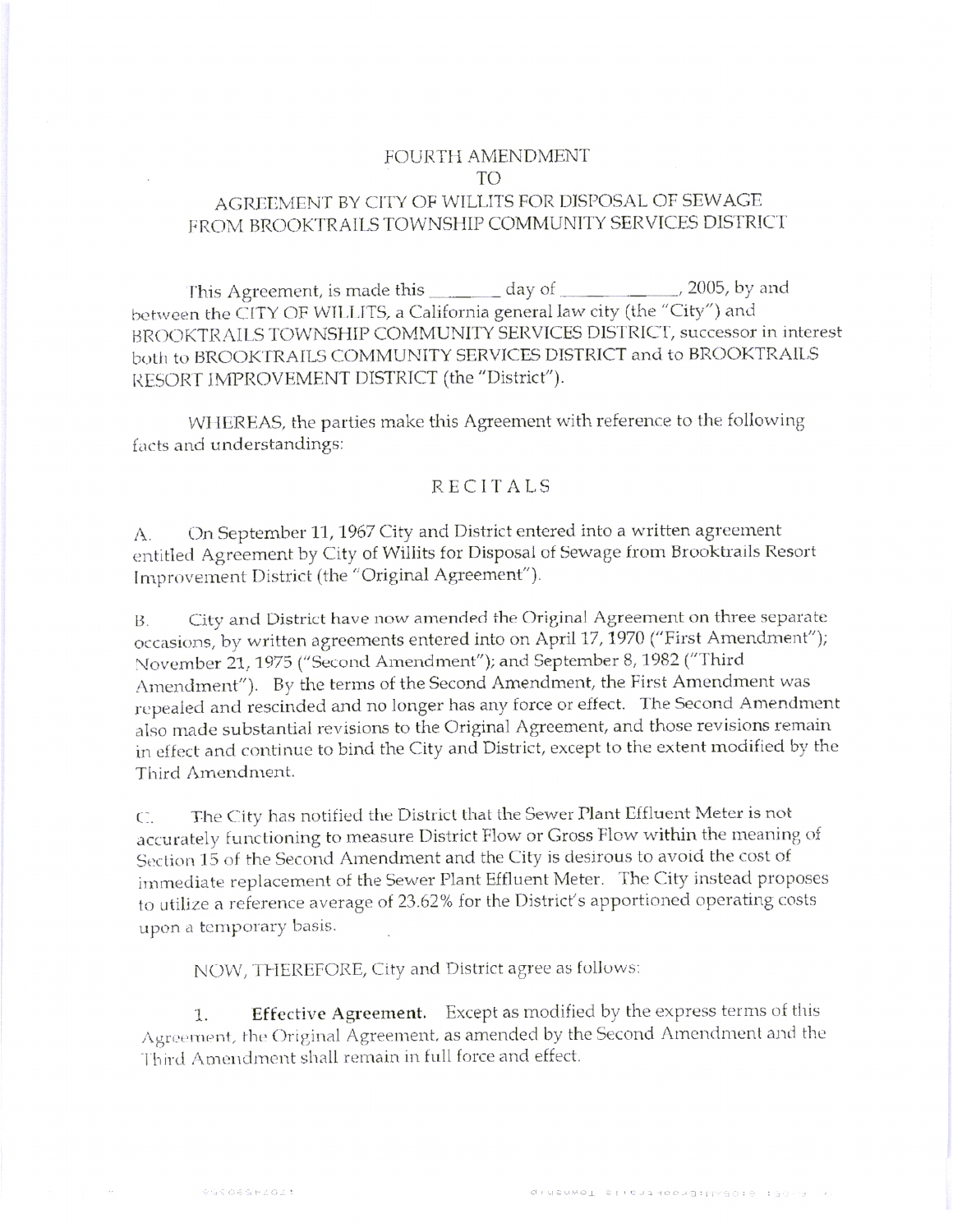## FOURTH AMENDMENT TO<sub>1</sub> AGREEMENT BY CITY OF WILLITS FOR DISPOSAL OF SEWAGE FROM BROOKTRAILS TOWNSHIP COMMUNITY SERVICES DISTRICT

This Agreement, is made this  $\frac{1}{\sqrt{2}}$  day of  $\frac{1}{\sqrt{2}}$  2005, by and between the CITY OF WILLITS, a California general law city (the "City") and BROOKTRAILS TOWNSHIP COMMUNITY SERVICES DISTRICT, successor in interest both to BROOKTRAILS COMMUNITY SERVICES DISTRICT and to BROOKTRAILS RESORT IMPROVEMENT DISTRICT (the "District").

WHEREAS, the parties make this Agreement with reference to the following facts and understandings:

## **RECITALS**

On September 11, 1967 City and District entered into a written agreement  $A$ . entitled Agreement by City of Willits for Disposal of Sewage from Brooktrails Resort Improvement District (the "Original Agreement").

City and District have now amended the Original Agreement on three separate **B.** occasions, by written agreements entered into on April 17, 1970 ("First Amendment"); November 21, 1975 ("Second Amendment"); and September 8, 1982 ("Third Amendment"). By the terms of the Second Amendment, the First Amendment was repealed and rescinded and no longer has any force or effect. The Second Amendment also made substantial revisions to the Original Agreement, and those revisions remain in effect and continue to bind the City and District, except to the extent modified by the Third Amendment.

The City has notified the District that the Sewer Plant Effluent Meter is not  $C_{1}$ accurately functioning to measure District Flow or Gross Flow within the meaning of Section 15 of the Second Amendment and the City is desirous to avoid the cost of immediate replacement of the Sewer Plant Effluent Meter. The City instead proposes to utilize a reference average of 23.62% for the District's apportioned operating costs upon a temporary basis.

NOW, THEREFORE, City and District agree as follows:

Effective Agreement. Except as modified by the express terms of this 1. Agreement, the Original Agreement, as amended by the Second Amendment and the Third Amendment shall remain in full force and effect.